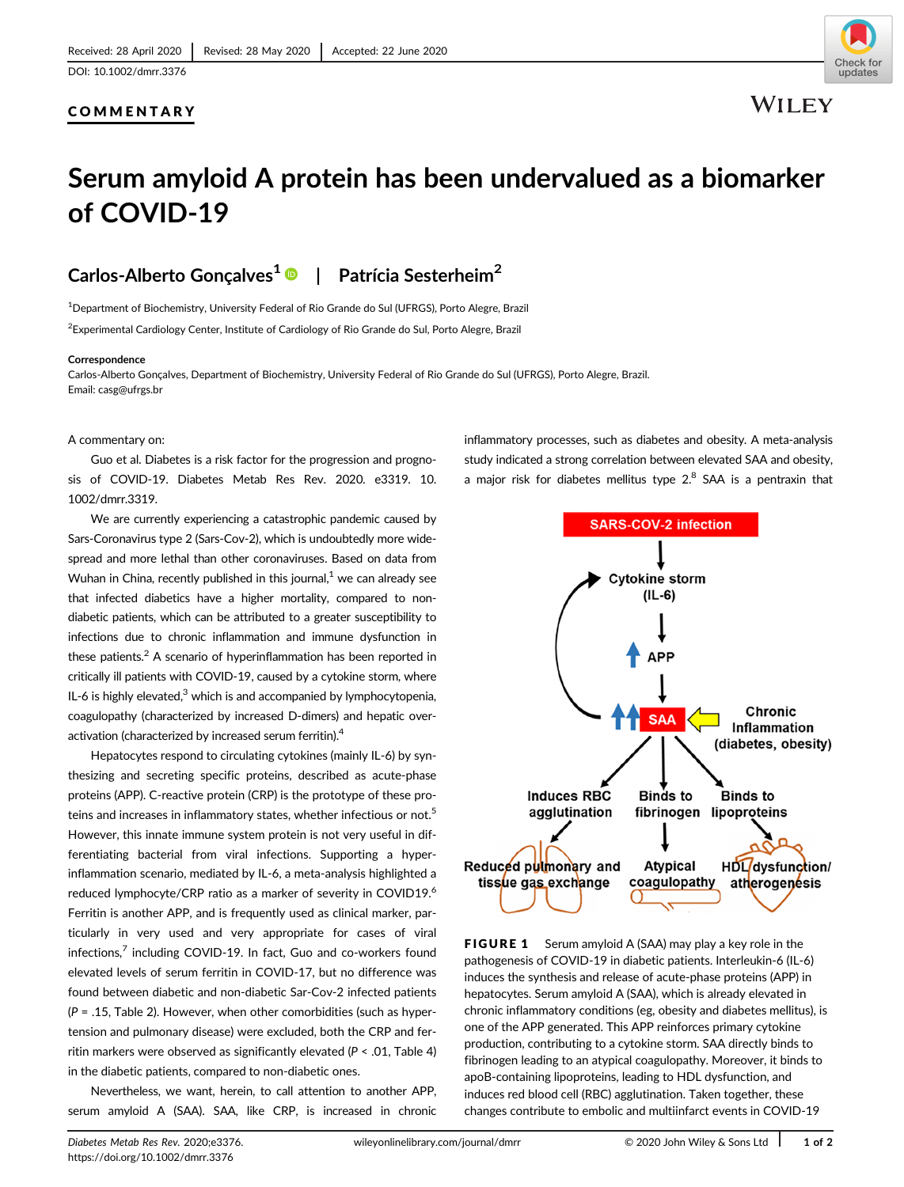### COMMENTARY



**WILEY** 

# Serum amyloid A protein has been undervalued as a biomarker of COVID-19

### Carlos-Alberto Goncalves<sup>1</sup> <sup>D</sup> | Patrícia Sesterheim<sup>2</sup>

<sup>1</sup>Department of Biochemistry, University Federal of Rio Grande do Sul (UFRGS), Porto Alegre, Brazil

 $^2$ Experimental Cardiology Center, Institute of Cardiology of Rio Grande do Sul, Porto Alegre, Brazil

### Correspondence

Carlos-Alberto Gonçalves, Department of Biochemistry, University Federal of Rio Grande do Sul (UFRGS), Porto Alegre, Brazil. Email: [casg@ufrgs.br](mailto:casg@ufrgs.br)

#### A commentary on:

Guo et al. Diabetes is a risk factor for the progression and prognosis of COVID-19. Diabetes Metab Res Rev. 2020. e3319. [10.](https://doi.org/10.1002/dmrr.3319) [1002/dmrr.3319.](https://doi.org/10.1002/dmrr.3319)

We are currently experiencing a catastrophic pandemic caused by Sars-Coronavirus type 2 (Sars-Cov-2), which is undoubtedly more widespread and more lethal than other coronaviruses. Based on data from Wuhan in China, recently published in this journal, $<sup>1</sup>$  we can already see</sup> that infected diabetics have a higher mortality, compared to nondiabetic patients, which can be attributed to a greater susceptibility to infections due to chronic inflammation and immune dysfunction in these patients. $2$  A scenario of hyperinflammation has been reported in critically ill patients with COVID-19, caused by a cytokine storm, where IL-6 is highly elevated, $3$  which is and accompanied by lymphocytopenia, coagulopathy (characterized by increased D-dimers) and hepatic overactivation (characterized by increased serum ferritin).4

Hepatocytes respond to circulating cytokines (mainly IL-6) by synthesizing and secreting specific proteins, described as acute-phase proteins (APP). C-reactive protein (CRP) is the prototype of these proteins and increases in inflammatory states, whether infectious or not.<sup>5</sup> However, this innate immune system protein is not very useful in differentiating bacterial from viral infections. Supporting a hyperinflammation scenario, mediated by IL-6, a meta-analysis highlighted a reduced lymphocyte/CRP ratio as a marker of severity in COVID19.<sup>6</sup> Ferritin is another APP, and is frequently used as clinical marker, particularly in very used and very appropriate for cases of viral infections,<sup>7</sup> including COVID-19. In fact, Guo and co-workers found elevated levels of serum ferritin in COVID-17, but no difference was found between diabetic and non-diabetic Sar-Cov-2 infected patients  $(P = .15,$  Table 2). However, when other comorbidities (such as hypertension and pulmonary disease) were excluded, both the CRP and ferritin markers were observed as significantly elevated (P < .01, Table 4) in the diabetic patients, compared to non-diabetic ones.

Nevertheless, we want, herein, to call attention to another APP, serum amyloid A (SAA). SAA, like CRP, is increased in chronic inflammatory processes, such as diabetes and obesity. A meta-analysis study indicated a strong correlation between elevated SAA and obesity, a major risk for diabetes mellitus type  $2<sup>8</sup>$  SAA is a pentraxin that



FIGURE 1 Serum amyloid A (SAA) may play a key role in the pathogenesis of COVID-19 in diabetic patients. Interleukin-6 (IL-6) induces the synthesis and release of acute-phase proteins (APP) in hepatocytes. Serum amyloid A (SAA), which is already elevated in chronic inflammatory conditions (eg, obesity and diabetes mellitus), is one of the APP generated. This APP reinforces primary cytokine production, contributing to a cytokine storm. SAA directly binds to fibrinogen leading to an atypical coagulopathy. Moreover, it binds to apoB-containing lipoproteins, leading to HDL dysfunction, and induces red blood cell (RBC) agglutination. Taken together, these changes contribute to embolic and multiinfarct events in COVID-19